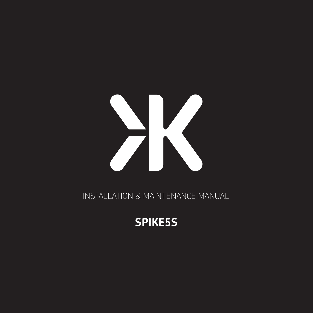

INSTALLATION & MAINTENANCE MANUAL

# **SPIKE5S**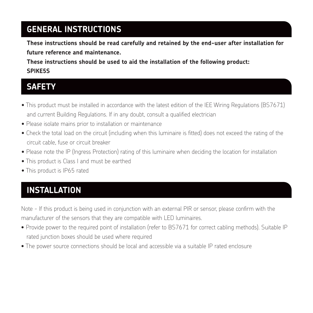### **GENERAL INSTRUCTIONS**

**These instructions should be read carefully and retained by the end-user after installation for future reference and maintenance.** 

**These instructions should be used to aid the installation of the following product: SPIKE5S** 

#### **SAFETY**

- This product must be installed in accordance with the latest edition of the IEE Wiring Regulations (BS7671) and current Building Regulations. If in any doubt, consult a qualified electrician
- Please isolate mains prior to installation or maintenance
- Check the total load on the circuit (including when this luminaire is fitted) does not exceed the rating of the circuit cable, fuse or circuit breaker
- Please note the IP (Ingress Protection) rating of this luminaire when deciding the location for installation
- This product is Class I and must be earthed
- This product is IP65 rated

## **INSTALLATION**

Note - If this product is being used in conjunction with an external PIR or sensor, please confirm with the manufacturer of the sensors that they are compatible with LED luminaires.

- Provide power to the required point of installation (refer to BS7671 for correct cabling methods). Suitable IP rated junction boxes should be used where required
- The power source connections should be local and accessible via a suitable IP rated enclosure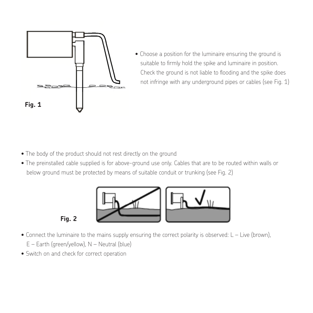

• Choose a position for the luminaire ensuring the ground is suitable to firmly hold the spike and luminaire in position. Check the ground is not liable to flooding and the spike does not infringe with any underground pipes or cables (see Fig. 1)

- The body of the product should not rest directly on the ground
- The preinstalled cable supplied is for above-ground use only. Cables that are to be routed within walls or below ground must be protected by means of suitable conduit or trunking (see Fig. 2)



**Fig. 2**

- Connect the luminaire to the mains supply ensuring the correct polarity is observed: L Live (brown), Fig. 2 E – Earth (green/yellow), N – Neutral (blue)
- Switch on and check for correct operation for wall mounting the state as a template, market as a template, market as a template, market as a template, market as a template, market as  $\alpha$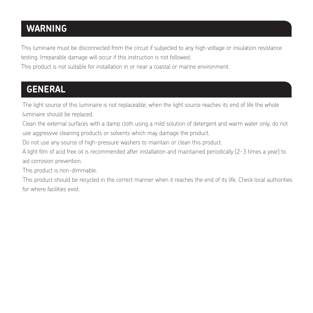## **WARNING**

This luminaire must be disconnected from the circuit if subjected to any high voltage or insulation resistance testing. Irreparable damage will occur if this instruction is not followed.

This product is not suitable for installation in or near a coastal or marine environment.

# **GENERAL**

The light source of this luminaire is not replaceable; when the light source reaches its end of life the whole luminaire should be replaced.

Clean the external surfaces with a damp cloth using a mild solution of detergent and warm water only, do not use aggressive cleaning products or solvents which may damage the product.

Do not use any source of high-pressure washers to maintain or clean this product.

A light film of acid free oil is recommended after installation and maintained periodically (2-3 times a year) to aid corrosion prevention.

This product is non-dimmable.

This product should be recycled in the correct manner when it reaches the end of its life. Check local authorities for where facilities exist.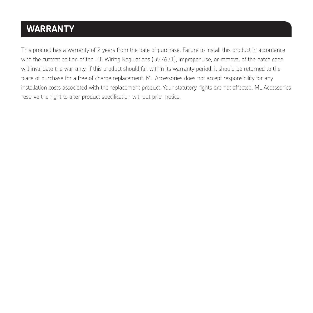# **WARRANTY**

This product has a warranty of 2 years from the date of purchase. Failure to install this product in accordance with the current edition of the IEE Wiring Regulations (BS7671), improper use, or removal of the batch code will invalidate the warranty. If this product should fail within its warranty period, it should be returned to the place of purchase for a free of charge replacement. ML Accessories does not accept responsibility for any installation costs associated with the replacement product. Your statutory rights are not affected. ML Accessories reserve the right to alter product specification without prior notice.